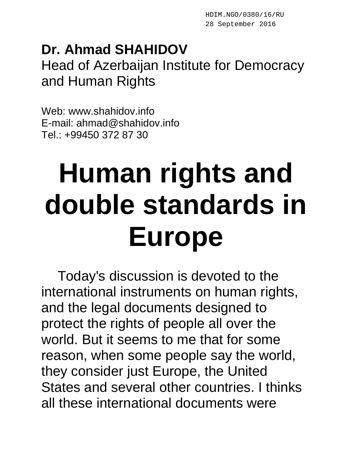## **Dr. Ahmad SHAHIDOV** Head of Azerbaijan Institute for Democracy and Human Rights

Web: www.shahidov.info E-mail: ahmad@shahidov.info Tel.: +99450 372 87 30

## **Human rights and double standards in Europe**

Today's discussion is devoted to the international instruments on human rights, and the legal documents designed to protect the rights of people all over the world. But it seems to me that for some reason, when some people say the world, they consider just Europe, the United States and several other countries. I thinks all these international documents were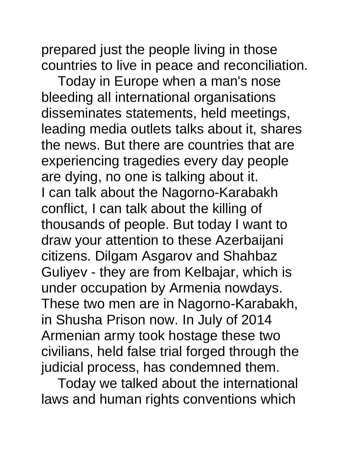prepared just the people living in those countries to live in peace and reconciliation.

Today in Europe when a man's nose bleeding all international organisations disseminates statements, held meetings, leading media outlets talks about it, shares the news. But there are countries that are experiencing tragedies every day people are dying, no one is talking about it. I can talk about the Nagorno-Karabakh conflict, I can talk about the killing of thousands of people. But today I want to draw your attention to these Azerbaijani citizens. Dilgam Asgarov and Shahbaz Guliyev - they are from Kelbajar, which is under occupation by Armenia nowdays. These two men are in Nagorno-Karabakh, in Shusha Prison now. In July of 2014 Armenian army took hostage these two civilians, held false trial forged through the judicial process, has condemned them.

Today we talked about the international laws and human rights conventions which